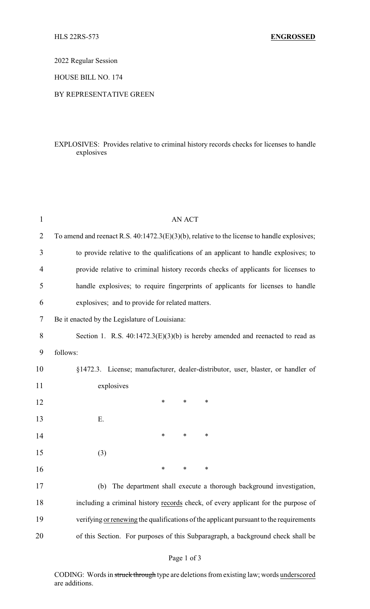2022 Regular Session

HOUSE BILL NO. 174

#### BY REPRESENTATIVE GREEN

### EXPLOSIVES: Provides relative to criminal history records checks for licenses to handle explosives

| $\mathbf{1}$   | <b>AN ACT</b>                                                                                  |  |  |  |
|----------------|------------------------------------------------------------------------------------------------|--|--|--|
| $\overline{2}$ | To amend and reenact R.S. $40:1472.3(E)(3)(b)$ , relative to the license to handle explosives; |  |  |  |
| 3              | to provide relative to the qualifications of an applicant to handle explosives; to             |  |  |  |
| 4              | provide relative to criminal history records checks of applicants for licenses to              |  |  |  |
| 5              | handle explosives; to require fingerprints of applicants for licenses to handle                |  |  |  |
| 6              | explosives; and to provide for related matters.                                                |  |  |  |
| 7              | Be it enacted by the Legislature of Louisiana:                                                 |  |  |  |
| 8              | Section 1. R.S. $40:1472.3(E)(3)(b)$ is hereby amended and reenacted to read as                |  |  |  |
| 9              | follows:                                                                                       |  |  |  |
| 10             | §1472.3. License; manufacturer, dealer-distributor, user, blaster, or handler of               |  |  |  |
| 11             | explosives                                                                                     |  |  |  |
| 12             | $\ast$<br>∗<br>∗                                                                               |  |  |  |
| 13             | Ε.                                                                                             |  |  |  |
| 14             | ∗<br>$\ast$<br>∗                                                                               |  |  |  |
| 15             | (3)                                                                                            |  |  |  |
| 16             | ∗<br>∗<br>∗                                                                                    |  |  |  |
| 17             | (b)<br>The department shall execute a thorough background investigation,                       |  |  |  |
| 18             | including a criminal history records check, of every applicant for the purpose of              |  |  |  |
| 19             | verifying or renewing the qualifications of the applicant pursuant to the requirements         |  |  |  |
| 20             | of this Section. For purposes of this Subparagraph, a background check shall be                |  |  |  |
|                |                                                                                                |  |  |  |

# Page 1 of 3

CODING: Words in struck through type are deletions from existing law; words underscored are additions.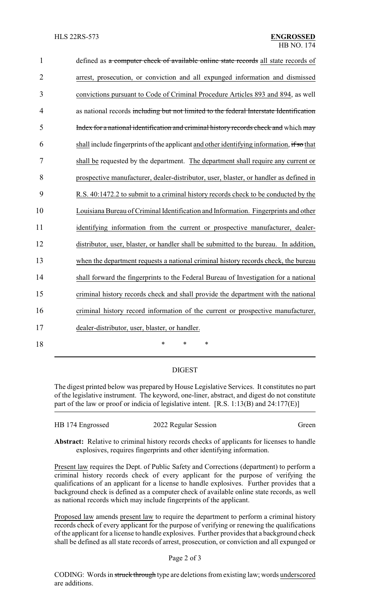| $\mathbf{1}$   | defined as a computer check of available online state records all state records of        |
|----------------|-------------------------------------------------------------------------------------------|
| $\overline{2}$ | arrest, prosecution, or conviction and all expunged information and dismissed             |
| 3              | convictions pursuant to Code of Criminal Procedure Articles 893 and 894, as well          |
| 4              | as national records including but not limited to the federal Interstate Identification    |
| 5              | Index for a national identification and criminal history records check and which may      |
| 6              | shall include fingerprints of the applicant and other identifying information, if so that |
| 7              | shall be requested by the department. The department shall require any current or         |
| 8              | prospective manufacturer, dealer-distributor, user, blaster, or handler as defined in     |
| 9              | R.S. 40:1472.2 to submit to a criminal history records check to be conducted by the       |
| 10             | Louisiana Bureau of Criminal Identification and Information. Fingerprints and other       |
| 11             | identifying information from the current or prospective manufacturer, dealer-             |
| 12             | distributor, user, blaster, or handler shall be submitted to the bureau. In addition,     |
| 13             | when the department requests a national criminal history records check, the bureau        |
| 14             | shall forward the fingerprints to the Federal Bureau of Investigation for a national      |
| 15             | criminal history records check and shall provide the department with the national         |
| 16             | criminal history record information of the current or prospective manufacturer,           |
| 17             | dealer-distributor, user, blaster, or handler.                                            |
| 18             | $\ast$<br>$\ast$<br>*                                                                     |

## DIGEST

The digest printed below was prepared by House Legislative Services. It constitutes no part of the legislative instrument. The keyword, one-liner, abstract, and digest do not constitute part of the law or proof or indicia of legislative intent. [R.S. 1:13(B) and 24:177(E)]

| HB 174 Engrossed | 2022 Regular Session | Green |
|------------------|----------------------|-------|
|------------------|----------------------|-------|

**Abstract:** Relative to criminal history records checks of applicants for licenses to handle explosives, requires fingerprints and other identifying information.

Present law requires the Dept. of Public Safety and Corrections (department) to perform a criminal history records check of every applicant for the purpose of verifying the qualifications of an applicant for a license to handle explosives. Further provides that a background check is defined as a computer check of available online state records, as well as national records which may include fingerprints of the applicant.

Proposed law amends present law to require the department to perform a criminal history records check of every applicant for the purpose of verifying or renewing the qualifications of the applicant for a license to handle explosives. Further provides that a background check shall be defined as all state records of arrest, prosecution, or conviction and all expunged or

### Page 2 of 3

CODING: Words in struck through type are deletions from existing law; words underscored are additions.